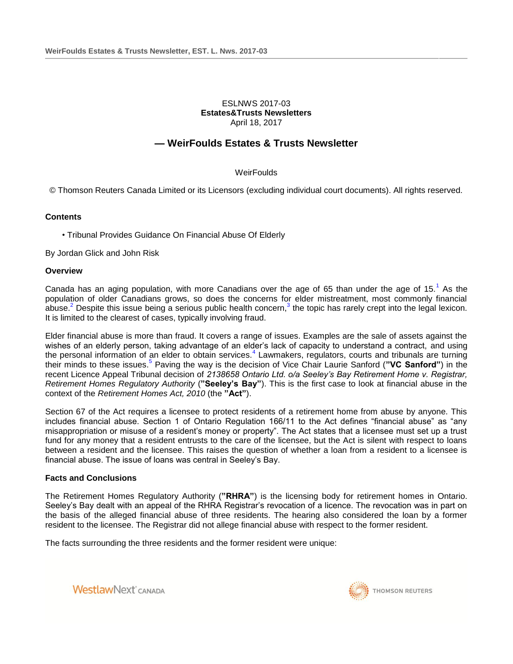## ESLNWS 2017-03 **Estates&Trusts Newsletters** April 18, 2017

# **— WeirFoulds Estates & Trusts Newsletter**

## **WeirFoulds**

© Thomson Reuters Canada Limited or its Licensors (excluding individual court documents). All rights reserved.

### **Contents**

• Tribunal Provides Guidance On Financial Abuse Of Elderly

By Jordan Glick and John Risk

#### **Overview**

Canada has an aging population, with more Canadians over the age of 65 than under the age of 15.<sup>1</sup> As the population of older Canadians grows, so does the concerns for elder mistreatment, most commonly financial abuse.<sup>2</sup> Despite this issue being a serious public health concern,<sup>3</sup> the topic has rarely crept into the legal lexicon. It is limited to the clearest of cases, typically involving fraud.

Elder financial abuse is more than fraud. It covers a range of issues. Examples are the sale of assets against the wishes of an elderly person, taking advantage of an elder's lack of capacity to understand a contract, and using the personal information of an elder to obtain services.<sup>4</sup> Lawmakers, regulators, courts and tribunals are turning their minds to these issues.<sup>5</sup> Paving the way is the decision of Vice Chair Laurie Sanford ("VC Sanford") in the recent Licence Appeal Tribunal decision of *2138658 Ontario Ltd. o/a Seeley's Bay Retirement Home v. Registrar, Retirement Homes Regulatory Authority* (**"Seeley's Bay"**). This is the first case to look at financial abuse in the context of the *Retirement Homes Act, 2010* (the **"Act"**).

Section 67 of the Act requires a licensee to protect residents of a retirement home from abuse by anyone. This includes financial abuse. Section 1 of Ontario Regulation 166/11 to the Act defines "financial abuse" as "any misappropriation or misuse of a resident's money or property". The Act states that a licensee must set up a trust fund for any money that a resident entrusts to the care of the licensee, but the Act is silent with respect to loans between a resident and the licensee. This raises the question of whether a loan from a resident to a licensee is financial abuse. The issue of loans was central in Seeley's Bay.

#### **Facts and Conclusions**

The Retirement Homes Regulatory Authority (**"RHRA"**) is the licensing body for retirement homes in Ontario. Seeley's Bay dealt with an appeal of the RHRA Registrar's revocation of a licence. The revocation was in part on the basis of the alleged financial abuse of three residents. The hearing also considered the loan by a former resident to the licensee. The Registrar did not allege financial abuse with respect to the former resident.

The facts surrounding the three residents and the former resident were unique:



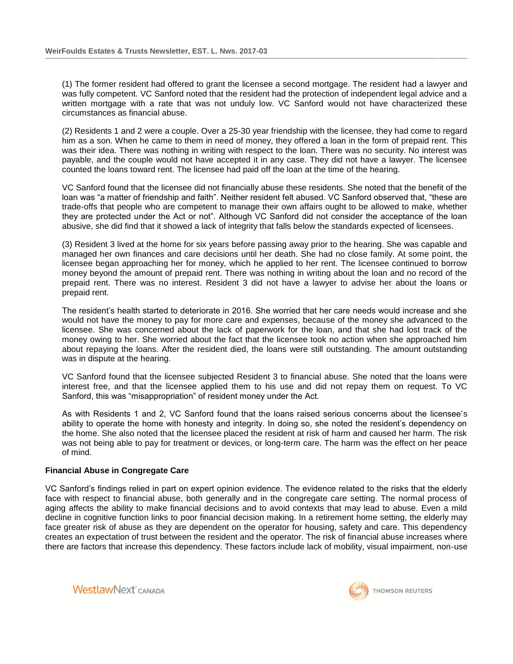(1) The former resident had offered to grant the licensee a second mortgage. The resident had a lawyer and was fully competent. VC Sanford noted that the resident had the protection of independent legal advice and a written mortgage with a rate that was not unduly low. VC Sanford would not have characterized these circumstances as financial abuse.

(2) Residents 1 and 2 were a couple. Over a 25-30 year friendship with the licensee, they had come to regard him as a son. When he came to them in need of money, they offered a loan in the form of prepaid rent. This was their idea. There was nothing in writing with respect to the loan. There was no security. No interest was payable, and the couple would not have accepted it in any case. They did not have a lawyer. The licensee counted the loans toward rent. The licensee had paid off the loan at the time of the hearing.

VC Sanford found that the licensee did not financially abuse these residents. She noted that the benefit of the loan was "a matter of friendship and faith". Neither resident felt abused. VC Sanford observed that, "these are trade-offs that people who are competent to manage their own affairs ought to be allowed to make, whether they are protected under the Act or not". Although VC Sanford did not consider the acceptance of the loan abusive, she did find that it showed a lack of integrity that falls below the standards expected of licensees.

(3) Resident 3 lived at the home for six years before passing away prior to the hearing. She was capable and managed her own finances and care decisions until her death. She had no close family. At some point, the licensee began approaching her for money, which he applied to her rent. The licensee continued to borrow money beyond the amount of prepaid rent. There was nothing in writing about the loan and no record of the prepaid rent. There was no interest. Resident 3 did not have a lawyer to advise her about the loans or prepaid rent.

The resident's health started to deteriorate in 2016. She worried that her care needs would increase and she would not have the money to pay for more care and expenses, because of the money she advanced to the licensee. She was concerned about the lack of paperwork for the loan, and that she had lost track of the money owing to her. She worried about the fact that the licensee took no action when she approached him about repaying the loans. After the resident died, the loans were still outstanding. The amount outstanding was in dispute at the hearing.

VC Sanford found that the licensee subjected Resident 3 to financial abuse. She noted that the loans were interest free, and that the licensee applied them to his use and did not repay them on request. To VC Sanford, this was "misappropriation" of resident money under the Act.

As with Residents 1 and 2, VC Sanford found that the loans raised serious concerns about the licensee's ability to operate the home with honesty and integrity. In doing so, she noted the resident's dependency on the home. She also noted that the licensee placed the resident at risk of harm and caused her harm. The risk was not being able to pay for treatment or devices, or long-term care. The harm was the effect on her peace of mind.

## **Financial Abuse in Congregate Care**

VC Sanford's findings relied in part on expert opinion evidence. The evidence related to the risks that the elderly face with respect to financial abuse, both generally and in the congregate care setting. The normal process of aging affects the ability to make financial decisions and to avoid contexts that may lead to abuse. Even a mild decline in cognitive function links to poor financial decision making. In a retirement home setting, the elderly may face greater risk of abuse as they are dependent on the operator for housing, safety and care. This dependency creates an expectation of trust between the resident and the operator. The risk of financial abuse increases where there are factors that increase this dependency. These factors include lack of mobility, visual impairment, non-use



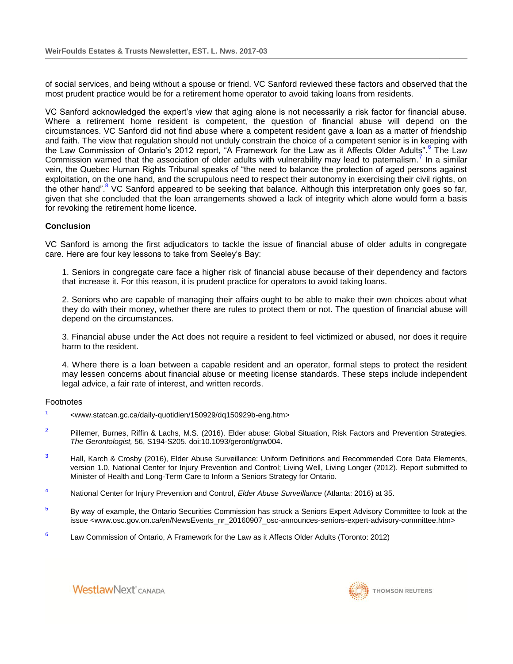of social services, and being without a spouse or friend. VC Sanford reviewed these factors and observed that the most prudent practice would be for a retirement home operator to avoid taking loans from residents.

VC Sanford acknowledged the expert's view that aging alone is not necessarily a risk factor for financial abuse. Where a retirement home resident is competent, the question of financial abuse will depend on the circumstances. VC Sanford did not find abuse where a competent resident gave a loan as a matter of friendship and faith. The view that regulation should not unduly constrain the choice of a competent senior is in keeping with the Law Commission of Ontario's 2012 report, "A Framework for the Law as it Affects Older Adults".<sup>6</sup> The Law Commission warned that the association of older adults with vulnerability may lead to paternalism.<sup>7</sup> In a similar vein, the Quebec Human Rights Tribunal speaks of "the need to balance the protection of aged persons against exploitation, on the one hand, and the scrupulous need to respect their autonomy in exercising their civil rights, on the other hand".<sup>8</sup> VC Sanford appeared to be seeking that balance. Although this interpretation only goes so far, given that she concluded that the loan arrangements showed a lack of integrity which alone would form a basis for revoking the retirement home licence.

## **Conclusion**

VC Sanford is among the first adjudicators to tackle the issue of financial abuse of older adults in congregate care. Here are four key lessons to take from Seeley's Bay:

1. Seniors in congregate care face a higher risk of financial abuse because of their dependency and factors that increase it. For this reason, it is prudent practice for operators to avoid taking loans.

2. Seniors who are capable of managing their affairs ought to be able to make their own choices about what they do with their money, whether there are rules to protect them or not. The question of financial abuse will depend on the circumstances.

3. Financial abuse under the Act does not require a resident to feel victimized or abused, nor does it require harm to the resident.

4. Where there is a loan between a capable resident and an operator, formal steps to protect the resident may lessen concerns about financial abuse or meeting license standards. These steps include independent legal advice, a fair rate of interest, and written records.

#### Footnotes

- 1 <www.statcan.gc.ca/daily-quotidien/150929/dq150929b-eng.htm>
- $2$  Pillemer, Burnes, Riffin & Lachs, M.S. (2016). Elder abuse: Global Situation, Risk Factors and Prevention Strategies. *The Gerontologist,* 56, S194-S205. doi:10.1093/geront/gnw004.
- $3$  Hall, Karch & Crosby (2016), Elder Abuse Surveillance: Uniform Definitions and Recommended Core Data Elements, version 1.0, National Center for Injury Prevention and Control; Living Well, Living Longer (2012). Report submitted to Minister of Health and Long-Term Care to Inform a Seniors Strategy for Ontario.
- <sup>4</sup> National Center for Injury Prevention and Control, *Elder Abuse Surveillance* (Atlanta: 2016) at 35.
- <sup>5</sup> By way of example, the Ontario Securities Commission has struck a Seniors Expert Advisory Committee to look at the issue <www.osc.gov.on.ca/en/NewsEvents\_nr\_20160907\_osc-announces-seniors-expert-advisory-committee.htm>
- 6 Law Commission of Ontario, A Framework for the Law as it Affects Older Adults (Toronto: 2012)



**WestlawNext** CANADA